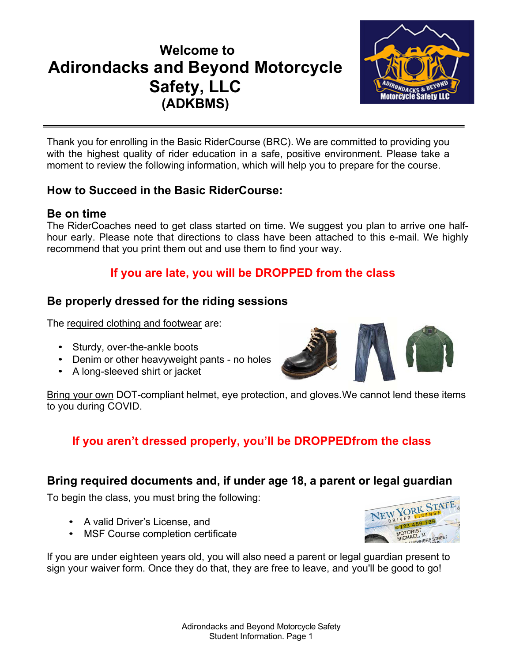## **Welcome to Adirondacks and Beyond Motorcycle Safety, LLC (ADKBMS)**



Thank you for enrolling in the Basic RiderCourse (BRC). We are committed to providing you with the highest quality of rider education in a safe, positive environment. Please take a moment to review the following information, which will help you to prepare for the course.

## **How to Succeed in the Basic RiderCourse:**

## **Be on time**

The RiderCoaches need to get class started on time. We suggest you plan to arrive one halfhour early. Please note that directions to class have been attached to this e-mail. We highly recommend that you print them out and use them to find your way.

## **If you are late, you will be DROPPED from the class**

## **Be properly dressed for the riding sessions**

The required clothing and footwear are:

- Sturdy, over-the-ankle boots
- Denim or other heavyweight pants no holes
- A long-sleeved shirt or jacket



Bring your own DOT-compliant helmet, eye protection, and gloves.We cannot lend these items to you during COVID.

## **If you aren't dressed properly, you'll be DROPPEDfrom the class**

## **Bring required documents and, if under age 18, a parent or legal guardian**

To begin the class, you must bring the following:

- A valid Driver's License, and
- MSF Course completion certificate



If you are under eighteen years old, you will also need a parent or legal guardian present to sign your waiver form. Once they do that, they are free to leave, and you'll be good to go!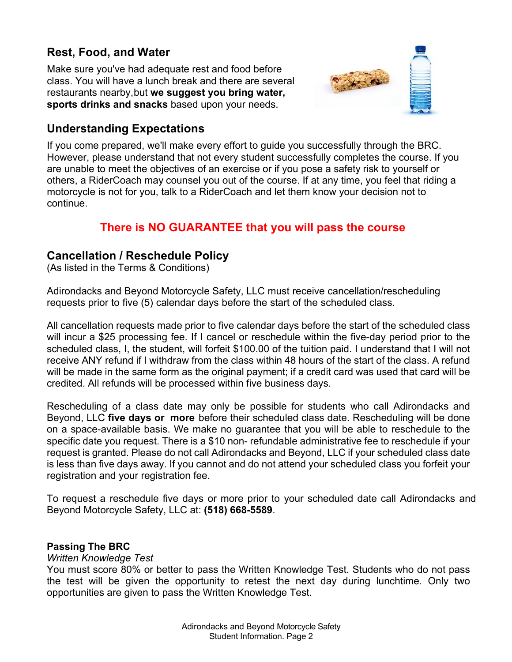## **Rest, Food, and Water**

Make sure you've had adequate rest and food before class. You will have a lunch break and there are several restaurants nearby,but **we suggest you bring water, sports drinks and snacks** based upon your needs.



## **Understanding Expectations**

If you come prepared, we'll make every effort to guide you successfully through the BRC. However, please understand that not every student successfully completes the course. If you are unable to meet the objectives of an exercise or if you pose a safety risk to yourself or others, a RiderCoach may counsel you out of the course. If at any time, you feel that riding a motorcycle is not for you, talk to a RiderCoach and let them know your decision not to continue.

## **There is NO GUARANTEE that you will pass the course**

## **Cancellation / Reschedule Policy**

(As listed in the Terms & Conditions)

Adirondacks and Beyond Motorcycle Safety, LLC must receive cancellation/rescheduling requests prior to five (5) calendar days before the start of the scheduled class.

All cancellation requests made prior to five calendar days before the start of the scheduled class will incur a \$25 processing fee. If I cancel or reschedule within the five-day period prior to the scheduled class, I, the student, will forfeit \$100.00 of the tuition paid. I understand that I will not receive ANY refund if I withdraw from the class within 48 hours of the start of the class. A refund will be made in the same form as the original payment; if a credit card was used that card will be credited. All refunds will be processed within five business days.

Rescheduling of a class date may only be possible for students who call Adirondacks and Beyond, LLC **five days or more** before their scheduled class date. Rescheduling will be done on a space-available basis. We make no guarantee that you will be able to reschedule to the specific date you request. There is a \$10 non- refundable administrative fee to reschedule if your request is granted. Please do not call Adirondacks and Beyond, LLC if your scheduled class date is less than five days away. If you cannot and do not attend your scheduled class you forfeit your registration and your registration fee.

To request a reschedule five days or more prior to your scheduled date call Adirondacks and Beyond Motorcycle Safety, LLC at: **(518) 668-5589**.

#### **Passing The BRC**

#### *Written Knowledge Test*

You must score 80% or better to pass the Written Knowledge Test. Students who do not pass the test will be given the opportunity to retest the next day during lunchtime. Only two opportunities are given to pass the Written Knowledge Test.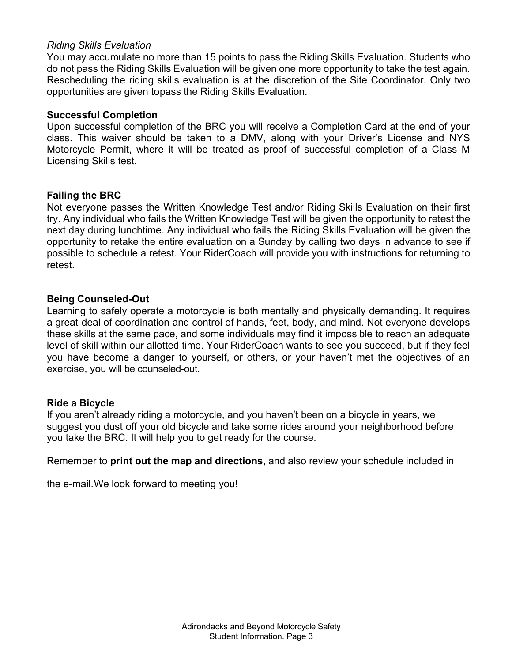#### *Riding Skills Evaluation*

You may accumulate no more than 15 points to pass the Riding Skills Evaluation. Students who do not pass the Riding Skills Evaluation will be given one more opportunity to take the test again. Rescheduling the riding skills evaluation is at the discretion of the Site Coordinator. Only two opportunities are given topass the Riding Skills Evaluation.

#### **Successful Completion**

Upon successful completion of the BRC you will receive a Completion Card at the end of your class. This waiver should be taken to a DMV, along with your Driver's License and NYS Motorcycle Permit, where it will be treated as proof of successful completion of a Class M Licensing Skills test.

#### **Failing the BRC**

Not everyone passes the Written Knowledge Test and/or Riding Skills Evaluation on their first try. Any individual who fails the Written Knowledge Test will be given the opportunity to retest the next day during lunchtime. Any individual who fails the Riding Skills Evaluation will be given the opportunity to retake the entire evaluation on a Sunday by calling two days in advance to see if possible to schedule a retest. Your RiderCoach will provide you with instructions for returning to retest.

#### **Being Counseled-Out**

Learning to safely operate a motorcycle is both mentally and physically demanding. It requires a great deal of coordination and control of hands, feet, body, and mind. Not everyone develops these skills at the same pace, and some individuals may find it impossible to reach an adequate level of skill within our allotted time. Your RiderCoach wants to see you succeed, but if they feel you have become a danger to yourself, or others, or your haven't met the objectives of an exercise, you will be counseled-out.

#### **Ride a Bicycle**

If you aren't already riding a motorcycle, and you haven't been on a bicycle in years, we suggest you dust off your old bicycle and take some rides around your neighborhood before you take the BRC. It will help you to get ready for the course.

Remember to **print out the map and directions**, and also review your schedule included in

the e-mail.We look forward to meeting you!